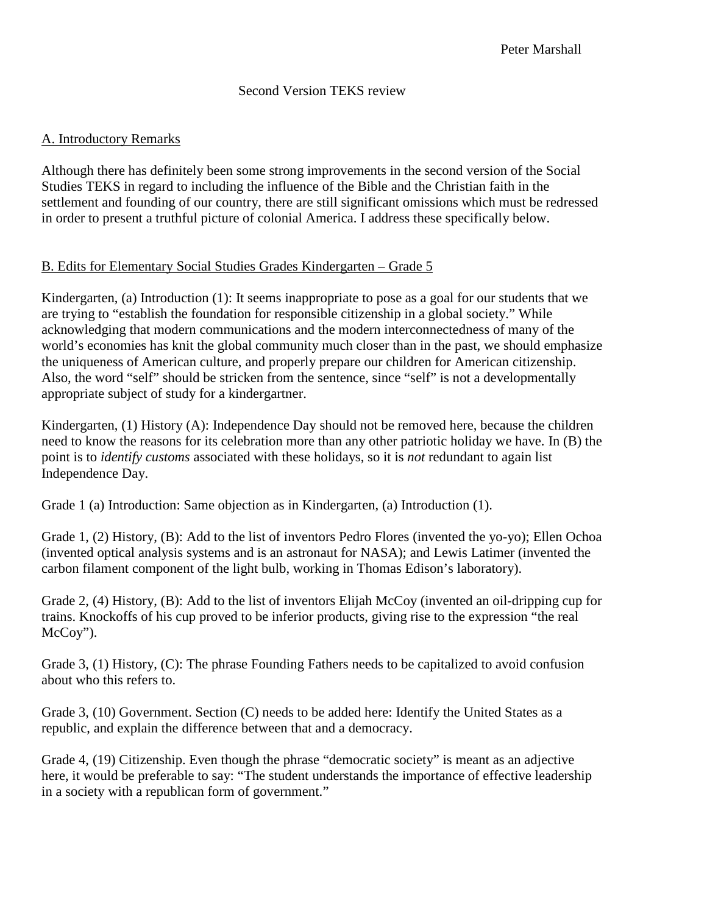### Second Version TEKS review

### A. Introductory Remarks

Although there has definitely been some strong improvements in the second version of the Social Studies TEKS in regard to including the influence of the Bible and the Christian faith in the settlement and founding of our country, there are still significant omissions which must be redressed in order to present a truthful picture of colonial America. I address these specifically below.

# B. Edits for Elementary Social Studies Grades Kindergarten – Grade 5

Kindergarten, (a) Introduction (1): It seems inappropriate to pose as a goal for our students that we are trying to "establish the foundation for responsible citizenship in a global society." While acknowledging that modern communications and the modern interconnectedness of many of the world's economies has knit the global community much closer than in the past, we should emphasize the uniqueness of American culture, and properly prepare our children for American citizenship. Also, the word "self" should be stricken from the sentence, since "self" is not a developmentally appropriate subject of study for a kindergartner.

Kindergarten, (1) History (A): Independence Day should not be removed here, because the children need to know the reasons for its celebration more than any other patriotic holiday we have. In (B) the point is to *identify customs* associated with these holidays, so it is *not* redundant to again list Independence Day.

Grade 1 (a) Introduction: Same objection as in Kindergarten, (a) Introduction (1).

Grade 1, (2) History, (B): Add to the list of inventors Pedro Flores (invented the yo-yo); Ellen Ochoa (invented optical analysis systems and is an astronaut for NASA); and Lewis Latimer (invented the carbon filament component of the light bulb, working in Thomas Edison's laboratory).

Grade 2, (4) History, (B): Add to the list of inventors Elijah McCoy (invented an oil-dripping cup for trains. Knockoffs of his cup proved to be inferior products, giving rise to the expression "the real McCoy").

Grade 3, (1) History, (C): The phrase Founding Fathers needs to be capitalized to avoid confusion about who this refers to.

Grade 3, (10) Government. Section (C) needs to be added here: Identify the United States as a republic, and explain the difference between that and a democracy.

Grade 4, (19) Citizenship. Even though the phrase "democratic society" is meant as an adjective here, it would be preferable to say: "The student understands the importance of effective leadership in a society with a republican form of government."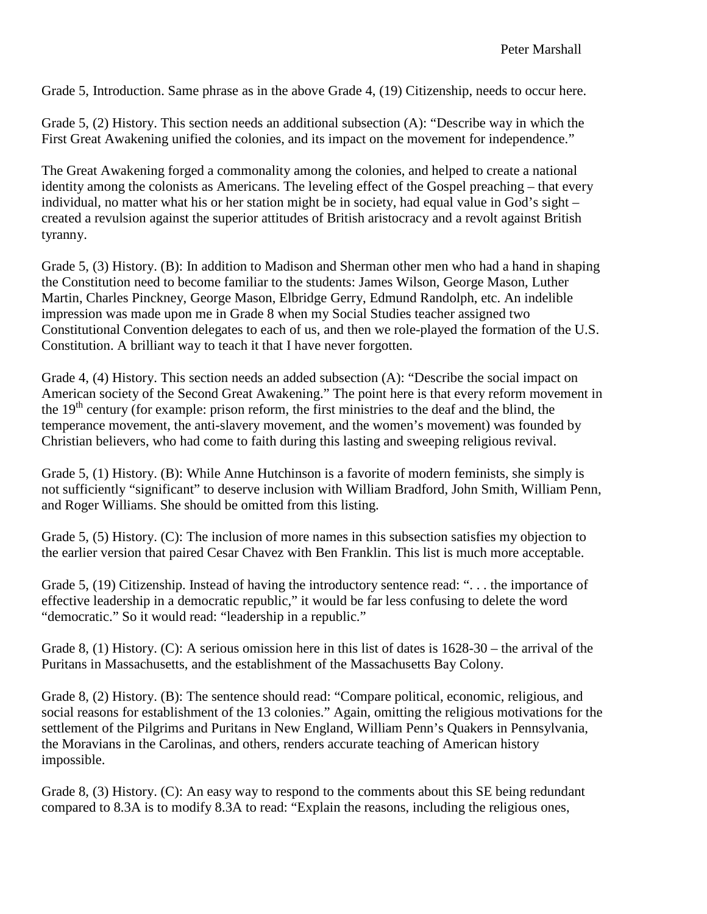Grade 5, Introduction. Same phrase as in the above Grade 4, (19) Citizenship, needs to occur here.

Grade 5, (2) History. This section needs an additional subsection (A): "Describe way in which the First Great Awakening unified the colonies, and its impact on the movement for independence."

The Great Awakening forged a commonality among the colonies, and helped to create a national identity among the colonists as Americans. The leveling effect of the Gospel preaching – that every individual, no matter what his or her station might be in society, had equal value in God's sight – created a revulsion against the superior attitudes of British aristocracy and a revolt against British tyranny.

Grade 5, (3) History. (B): In addition to Madison and Sherman other men who had a hand in shaping the Constitution need to become familiar to the students: James Wilson, George Mason, Luther Martin, Charles Pinckney, George Mason, Elbridge Gerry, Edmund Randolph, etc. An indelible impression was made upon me in Grade 8 when my Social Studies teacher assigned two Constitutional Convention delegates to each of us, and then we role-played the formation of the U.S. Constitution. A brilliant way to teach it that I have never forgotten.

Grade 4, (4) History. This section needs an added subsection (A): "Describe the social impact on American society of the Second Great Awakening." The point here is that every reform movement in the  $19<sup>th</sup>$  century (for example: prison reform, the first ministries to the deaf and the blind, the temperance movement, the anti-slavery movement, and the women's movement) was founded by Christian believers, who had come to faith during this lasting and sweeping religious revival.

Grade 5, (1) History. (B): While Anne Hutchinson is a favorite of modern feminists, she simply is not sufficiently "significant" to deserve inclusion with William Bradford, John Smith, William Penn, and Roger Williams. She should be omitted from this listing.

Grade 5, (5) History. (C): The inclusion of more names in this subsection satisfies my objection to the earlier version that paired Cesar Chavez with Ben Franklin. This list is much more acceptable.

Grade 5, (19) Citizenship. Instead of having the introductory sentence read: ". . . the importance of effective leadership in a democratic republic," it would be far less confusing to delete the word "democratic." So it would read: "leadership in a republic."

Grade 8, (1) History. (C): A serious omission here in this list of dates is 1628-30 – the arrival of the Puritans in Massachusetts, and the establishment of the Massachusetts Bay Colony.

Grade 8, (2) History. (B): The sentence should read: "Compare political, economic, religious, and social reasons for establishment of the 13 colonies." Again, omitting the religious motivations for the settlement of the Pilgrims and Puritans in New England, William Penn's Quakers in Pennsylvania, the Moravians in the Carolinas, and others, renders accurate teaching of American history impossible.

Grade 8, (3) History. (C): An easy way to respond to the comments about this SE being redundant compared to 8.3A is to modify 8.3A to read: "Explain the reasons, including the religious ones,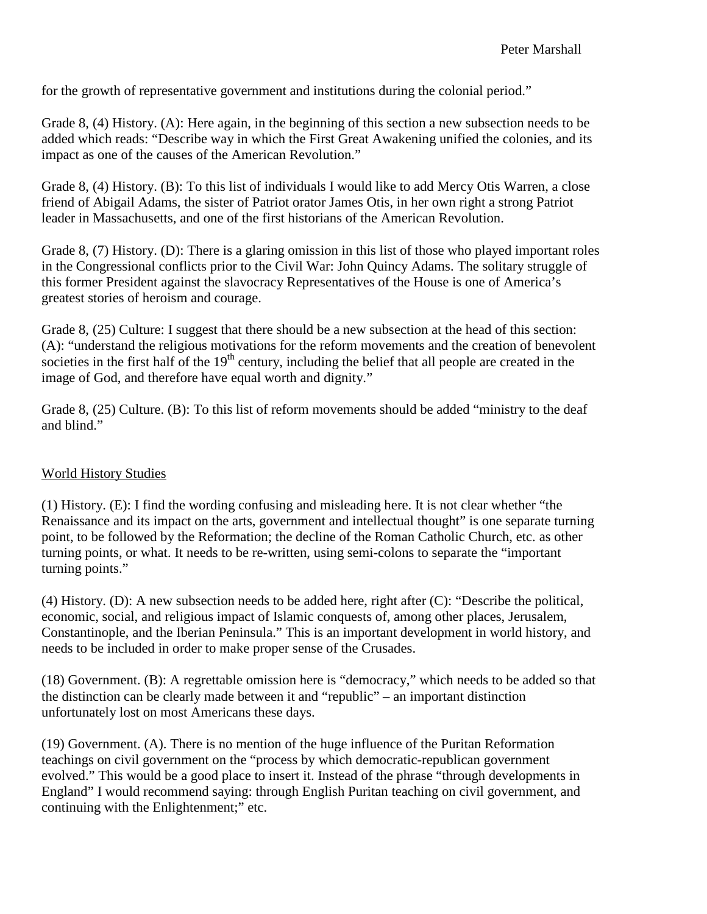for the growth of representative government and institutions during the colonial period."

Grade 8, (4) History. (A): Here again, in the beginning of this section a new subsection needs to be added which reads: "Describe way in which the First Great Awakening unified the colonies, and its impact as one of the causes of the American Revolution."

Grade 8, (4) History. (B): To this list of individuals I would like to add Mercy Otis Warren, a close friend of Abigail Adams, the sister of Patriot orator James Otis, in her own right a strong Patriot leader in Massachusetts, and one of the first historians of the American Revolution.

Grade 8, (7) History. (D): There is a glaring omission in this list of those who played important roles in the Congressional conflicts prior to the Civil War: John Quincy Adams. The solitary struggle of this former President against the slavocracy Representatives of the House is one of America's greatest stories of heroism and courage.

Grade 8, (25) Culture: I suggest that there should be a new subsection at the head of this section: (A): "understand the religious motivations for the reform movements and the creation of benevolent societies in the first half of the  $19<sup>th</sup>$  century, including the belief that all people are created in the image of God, and therefore have equal worth and dignity."

Grade 8, (25) Culture. (B): To this list of reform movements should be added "ministry to the deaf and blind."

# World History Studies

(1) History. (E): I find the wording confusing and misleading here. It is not clear whether "the Renaissance and its impact on the arts, government and intellectual thought" is one separate turning point, to be followed by the Reformation; the decline of the Roman Catholic Church, etc. as other turning points, or what. It needs to be re-written, using semi-colons to separate the "important turning points."

(4) History. (D): A new subsection needs to be added here, right after (C): "Describe the political, economic, social, and religious impact of Islamic conquests of, among other places, Jerusalem, Constantinople, and the Iberian Peninsula." This is an important development in world history, and needs to be included in order to make proper sense of the Crusades.

(18) Government. (B): A regrettable omission here is "democracy," which needs to be added so that the distinction can be clearly made between it and "republic" – an important distinction unfortunately lost on most Americans these days.

(19) Government. (A). There is no mention of the huge influence of the Puritan Reformation teachings on civil government on the "process by which democratic-republican government evolved." This would be a good place to insert it. Instead of the phrase "through developments in England" I would recommend saying: through English Puritan teaching on civil government, and continuing with the Enlightenment;" etc.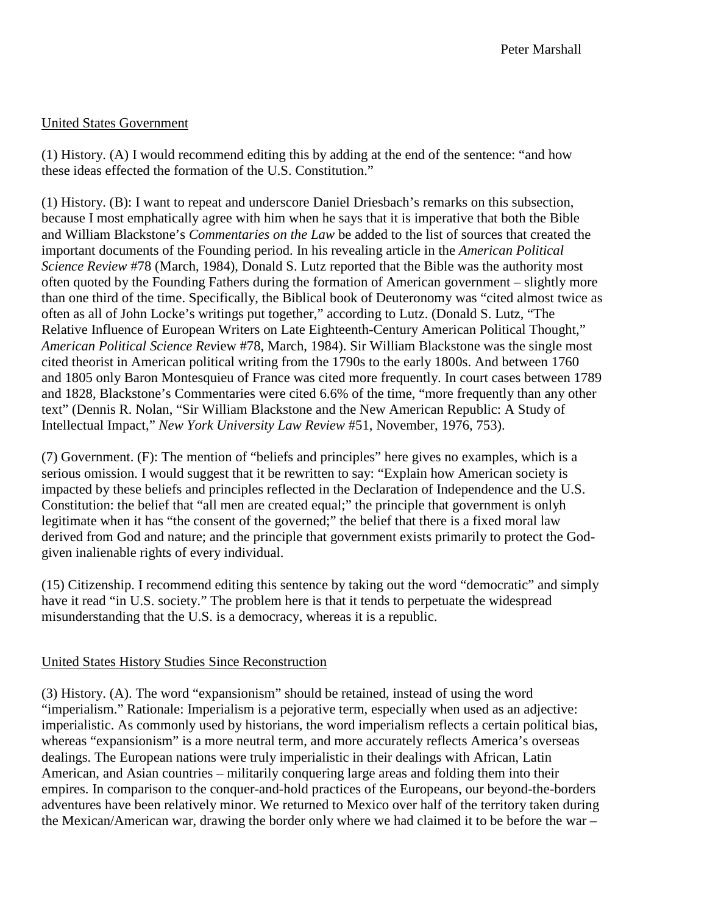# United States Government

(1) History. (A) I would recommend editing this by adding at the end of the sentence: "and how these ideas effected the formation of the U.S. Constitution."

(1) History. (B): I want to repeat and underscore Daniel Driesbach's remarks on this subsection, because I most emphatically agree with him when he says that it is imperative that both the Bible and William Blackstone's *Commentaries on the Law* be added to the list of sources that created the important documents of the Founding period. In his revealing article in the *American Political Science Review* #78 (March, 1984), Donald S. Lutz reported that the Bible was the authority most often quoted by the Founding Fathers during the formation of American government – slightly more than one third of the time. Specifically, the Biblical book of Deuteronomy was "cited almost twice as often as all of John Locke's writings put together," according to Lutz. (Donald S. Lutz, "The Relative Influence of European Writers on Late Eighteenth-Century American Political Thought," *American Political Science Rev*iew #78, March, 1984). Sir William Blackstone was the single most cited theorist in American political writing from the 1790s to the early 1800s. And between 1760 and 1805 only Baron Montesquieu of France was cited more frequently. In court cases between 1789 and 1828, Blackstone's Commentaries were cited 6.6% of the time, "more frequently than any other text" (Dennis R. Nolan, "Sir William Blackstone and the New American Republic: A Study of Intellectual Impact," *New York University Law Review* #51, November, 1976, 753).

(7) Government. (F): The mention of "beliefs and principles" here gives no examples, which is a serious omission. I would suggest that it be rewritten to say: "Explain how American society is impacted by these beliefs and principles reflected in the Declaration of Independence and the U.S. Constitution: the belief that "all men are created equal;" the principle that government is onlyh legitimate when it has "the consent of the governed;" the belief that there is a fixed moral law derived from God and nature; and the principle that government exists primarily to protect the Godgiven inalienable rights of every individual.

(15) Citizenship. I recommend editing this sentence by taking out the word "democratic" and simply have it read "in U.S. society." The problem here is that it tends to perpetuate the widespread misunderstanding that the U.S. is a democracy, whereas it is a republic.

# United States History Studies Since Reconstruction

(3) History. (A). The word "expansionism" should be retained, instead of using the word "imperialism." Rationale: Imperialism is a pejorative term, especially when used as an adjective: imperialistic. As commonly used by historians, the word imperialism reflects a certain political bias, whereas "expansionism" is a more neutral term, and more accurately reflects America's overseas dealings. The European nations were truly imperialistic in their dealings with African, Latin American, and Asian countries – militarily conquering large areas and folding them into their empires. In comparison to the conquer-and-hold practices of the Europeans, our beyond-the-borders adventures have been relatively minor. We returned to Mexico over half of the territory taken during the Mexican/American war, drawing the border only where we had claimed it to be before the war –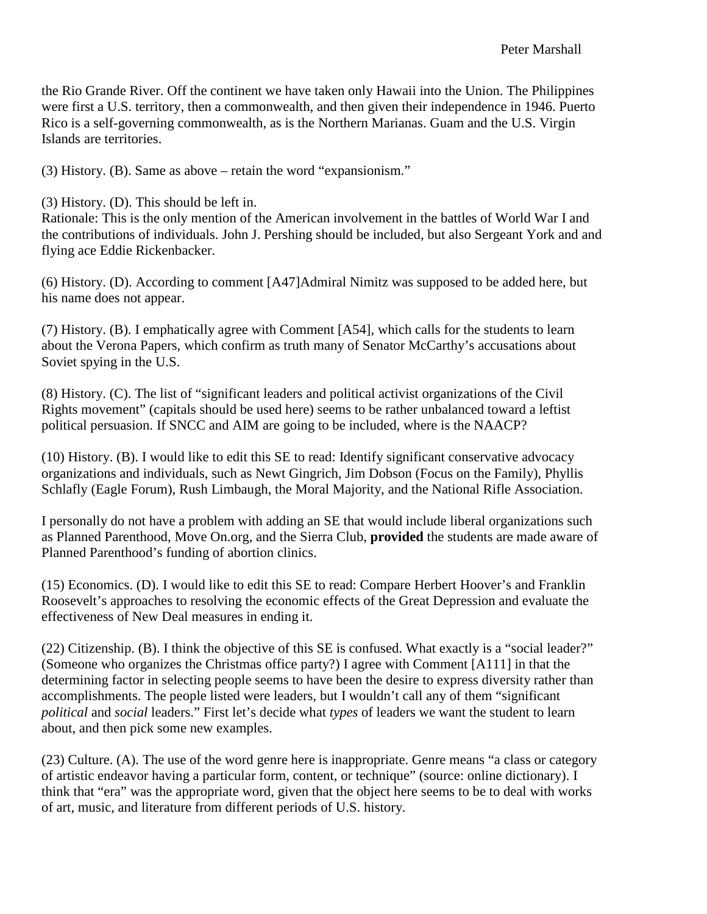the Rio Grande River. Off the continent we have taken only Hawaii into the Union. The Philippines were first a U.S. territory, then a commonwealth, and then given their independence in 1946. Puerto Rico is a self-governing commonwealth, as is the Northern Marianas. Guam and the U.S. Virgin Islands are territories.

(3) History. (B). Same as above – retain the word "expansionism."

(3) History. (D). This should be left in.

Rationale: This is the only mention of the American involvement in the battles of World War I and the contributions of individuals. John J. Pershing should be included, but also Sergeant York and and flying ace Eddie Rickenbacker.

(6) History. (D). According to comment [A47]Admiral Nimitz was supposed to be added here, but his name does not appear.

(7) History. (B). I emphatically agree with Comment [A54], which calls for the students to learn about the Verona Papers, which confirm as truth many of Senator McCarthy's accusations about Soviet spying in the U.S.

(8) History. (C). The list of "significant leaders and political activist organizations of the Civil Rights movement" (capitals should be used here) seems to be rather unbalanced toward a leftist political persuasion. If SNCC and AIM are going to be included, where is the NAACP?

(10) History. (B). I would like to edit this SE to read: Identify significant conservative advocacy organizations and individuals, such as Newt Gingrich, Jim Dobson (Focus on the Family), Phyllis Schlafly (Eagle Forum), Rush Limbaugh, the Moral Majority, and the National Rifle Association.

I personally do not have a problem with adding an SE that would include liberal organizations such as Planned Parenthood, Move On.org, and the Sierra Club, **provided** the students are made aware of Planned Parenthood's funding of abortion clinics.

(15) Economics. (D). I would like to edit this SE to read: Compare Herbert Hoover's and Franklin Roosevelt's approaches to resolving the economic effects of the Great Depression and evaluate the effectiveness of New Deal measures in ending it.

(22) Citizenship. (B). I think the objective of this SE is confused. What exactly is a "social leader?" (Someone who organizes the Christmas office party?) I agree with Comment [A111] in that the determining factor in selecting people seems to have been the desire to express diversity rather than accomplishments. The people listed were leaders, but I wouldn't call any of them "significant *political* and *social* leaders." First let's decide what *types* of leaders we want the student to learn about, and then pick some new examples.

(23) Culture. (A). The use of the word genre here is inappropriate. Genre means "a class or category of artistic endeavor having a particular form, content, or technique" (source: online dictionary). I think that "era" was the appropriate word, given that the object here seems to be to deal with works of art, music, and literature from different periods of U.S. history.